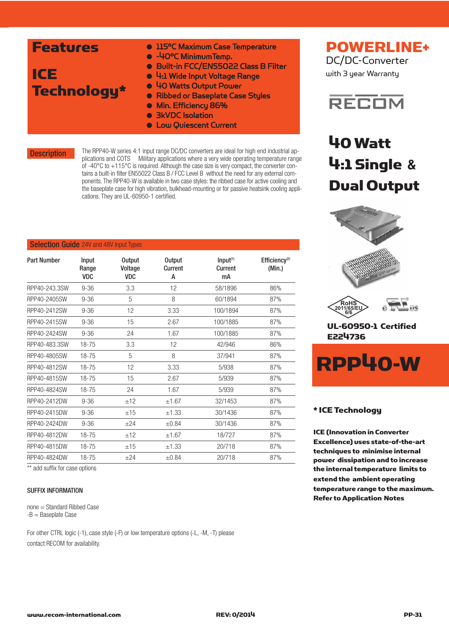| <b>Features</b> | <b>. 115°C Maximum Case Temperature</b><br>• -40°C Minimum Temp. |
|-----------------|------------------------------------------------------------------|
|                 | · Built-in FCC/EN55022 Class B Filter                            |
| <b>ICE</b>      | • 4:1 Wide Input Voltage Range                                   |
| Technology*     | • 40 Watts Output Power                                          |
|                 | • Ribbed or Baseplate Case Styles                                |
|                 | • Min. Efficiency 86%                                            |
|                 | • <b>BKVDC</b> Isolation                                         |
|                 | <b>.</b> Low Quiescent Current                                   |

**Description** 

The RPP40-W series 4:1 input range DC/DC converters are ideal for high end industrial applications and COTS Military applications where a very wide operating temperature range of -40°C to +115°C is required. Although the case size is very compact, the converter contains a built-in filter EN55022 Class B / FCC Level B without the need for any external components. The RPP40-W is available in two case styles: the ribbed case for active cooling and the baseplate case for high vibration, bulkhead-mounting or for passive heatsink cooling applications. They are UL-60950-1 certified.

#### **Selection Guide** 24V and 48V Input Types

| <b>Part Number</b> | Input<br>Range<br><b>VDC</b> | <b>Output</b><br>Voltage<br><b>VDC</b> | <b>Output</b><br>Current<br>А | Input <sup>(1)</sup><br>Current<br>mA | Efficiency <sup>(2)</sup><br>(Min.) |
|--------------------|------------------------------|----------------------------------------|-------------------------------|---------------------------------------|-------------------------------------|
| RPP40-243.3SW      | $9 - 36$                     | 3.3                                    | 12                            | 58/1896                               | 86%                                 |
| RPP40-2405SW       | $9 - 36$                     | 5                                      | 8                             | 60/1894                               | 87%                                 |
| RPP40-2412SW       | $9 - 36$                     | 12                                     | 3.33                          | 100/1894                              | 87%                                 |
| RPP40-2415SW       | $9 - 36$                     | 15                                     | 2.67                          | 100/1885                              | 87%                                 |
| RPP40-2424SW       | $9 - 36$                     | 24                                     | 1.67                          | 100/1885                              | 87%                                 |
| RPP40-483.3SW      | 18-75                        | 3.3                                    | 12                            | 42/946                                | 86%                                 |
| RPP40-4805SW       | 18-75                        | 5                                      | 8                             | 37/941                                | 87%                                 |
| RPP40-4812SW       | 18-75                        | 12                                     | 3.33                          | 5/938                                 | 87%                                 |
| RPP40-4815SW       | $18 - 75$                    | 15                                     | 2.67                          | 5/939                                 | 87%                                 |
| RPP40-4824SW       | $18 - 75$                    | 24                                     | 1.67                          | 5/939                                 | 87%                                 |
| RPP40-2412DW       | $9 - 36$                     | ±12                                    | ±1.67                         | 32/1453                               | 87%                                 |
| RPP40-2415DW       | $9 - 36$                     | ±15                                    | ±1.33                         | 30/1436                               | 87%                                 |
| RPP40-2424DW       | $9 - 36$                     | $+24$                                  | ±0.84                         | 30/1436                               | 87%                                 |
| RPP40-4812DW       | 18-75                        | ±12                                    | ±1.67                         | 18/727                                | 87%                                 |
| RPP40-4815DW       | $18 - 75$                    | ±15                                    | ±1.33                         | 20/718                                | 87%                                 |
| RPP40-4824DW       | $18 - 75$                    | ±24                                    | ±0.84                         | 20/718                                | 87%                                 |
|                    |                              |                                        |                               |                                       |                                     |

\*\* add suffix for case options

#### SUFFIX INFORMATION

none = Standard Ribbed Case -B = Baseplate Case

For other CTRL logic (-1), case style (-F) or low temperature options (-L, -M, -T) please contact RECOM for availability.

## POWERLINE+ DC/DC-Converter

with 3 year Warranty



## 40 Watt 4:1 Single **&** Dual Output





UL-60950-1 Certified E224736



#### \* ICE Technology

**2011/65/EU 6/6**

ICE (Innovation in Converter Excellence) uses state-of-the-art techniques to minimise internal power dissipation and to increase the internal temperature limits to extend the ambient operating temperature range to the maximum. Refer to Application Notes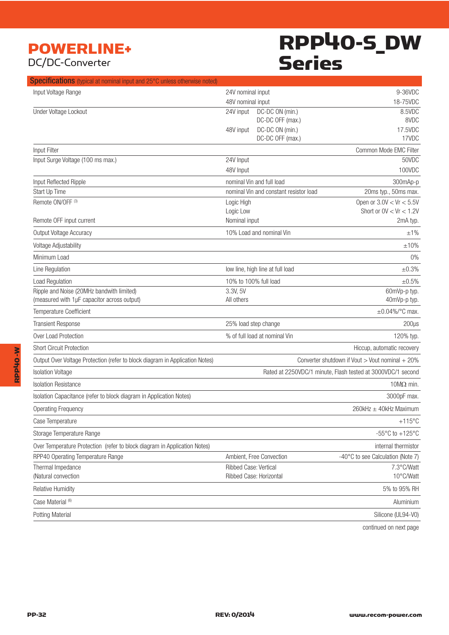## POWERLINE+ DC/DC-Converter

## RPP40-S\_DW Series

| <b>Specifications</b> (typical at nominal input and 25°C unless otherwise noted)         |                        |                                        |                                                             |
|------------------------------------------------------------------------------------------|------------------------|----------------------------------------|-------------------------------------------------------------|
| Input Voltage Range                                                                      | 24V nominal input      |                                        | 9-36VDC                                                     |
|                                                                                          | 48V nominal input      |                                        | 18-75VDC                                                    |
| Under Voltage Lockout                                                                    | 24V input              | DC-DC ON (min.)                        | 8.5VDC                                                      |
|                                                                                          | 48V input              | DC-DC OFF (max.)<br>DC-DC ON (min.)    | 8VDC<br>17.5VDC                                             |
|                                                                                          |                        | DC-DC OFF (max.)                       | 17VDC                                                       |
| Input Filter                                                                             |                        |                                        | Common Mode EMC Filter                                      |
| Input Surge Voltage (100 ms max.)                                                        | 24V Input              |                                        | 50VDC                                                       |
|                                                                                          | 48V Input              |                                        | 100VDC                                                      |
| Input Reflected Ripple                                                                   |                        | nominal Vin and full load              | 300mAp-p                                                    |
| Start Up Time                                                                            |                        | nominal Vin and constant resistor load | 20ms typ., 50ms max.                                        |
| Remote ON/OFF <sup>(3)</sup>                                                             | Logic High             |                                        | Open or $3.0V < Vr < 5.5V$                                  |
|                                                                                          | Logic Low              |                                        | Short or $0V < Vr < 1.2V$                                   |
| Remote OFF input current                                                                 | Nominal input          |                                        | 2mA typ.                                                    |
| Output Voltage Accuracy                                                                  |                        | 10% Load and nominal Vin               | ±1%                                                         |
| Voltage Adjustability                                                                    |                        |                                        | ±10%                                                        |
| Minimum Load                                                                             |                        |                                        | $0\%$                                                       |
| Line Regulation                                                                          |                        | low line, high line at full load       | ±0.3%                                                       |
| Load Regulation                                                                          |                        | 10% to 100% full load                  | ±0.5%                                                       |
| Ripple and Noise (20MHz bandwith limited)<br>(measured with 1µF capacitor across output) | 3.3V, 5V<br>All others |                                        | 60mVp-p typ.<br>40mVp-p typ.                                |
| Temperature Coefficient                                                                  |                        |                                        | $\pm 0.04\%$ /°C max.                                       |
| <b>Transient Response</b>                                                                |                        | 25% load step change                   | $200\mu s$                                                  |
| Over Load Protection                                                                     |                        | % of full load at nominal Vin          | 120% typ.                                                   |
| <b>Short Circuit Protection</b>                                                          |                        |                                        | Hiccup, automatic recovery                                  |
| Output Over Voltage Protection (refer to block diagram in Application Notes)             |                        |                                        | Converter shutdown if Vout > Vout nominal + 20%             |
| <b>Isolation Voltage</b>                                                                 |                        |                                        | Rated at 2250VDC/1 minute, Flash tested at 3000VDC/1 second |
| <b>Isolation Resistance</b>                                                              |                        |                                        | 10 $M\Omega$ min.                                           |
| Isolation Capacitance (refer to block diagram in Application Notes)                      |                        |                                        | 3000pF max.                                                 |
| <b>Operating Frequency</b>                                                               |                        |                                        | 260kHz ± 40kHz Maximum                                      |
| Case Temperature                                                                         |                        |                                        | $+115^{\circ}$ C                                            |
| Storage Temperature Range                                                                |                        |                                        | -55 $\mathrm{^{\circ}C}$ to +125 $\mathrm{^{\circ}C}$       |
| Over Temperature Protection (refer to block diagram in Application Notes)                |                        |                                        | internal thermistor                                         |
| RPP40 Operating Temperature Range                                                        |                        | Ambient, Free Convection               | -40°C to see Calculation (Note 7)                           |
| Thermal Impedance                                                                        | Ribbed Case: Vertical  |                                        | 7.3°C/Watt                                                  |
| (Natural convection                                                                      |                        | Ribbed Case: Horizontal                | 10°C/Watt                                                   |
| Relative Humidity                                                                        |                        |                                        | 5% to 95% RH                                                |
| Case Material (6)                                                                        |                        |                                        | Aluminium                                                   |
| Potting Material                                                                         |                        |                                        | Silicone (UL94-V0)                                          |
|                                                                                          |                        |                                        |                                                             |

continued on next page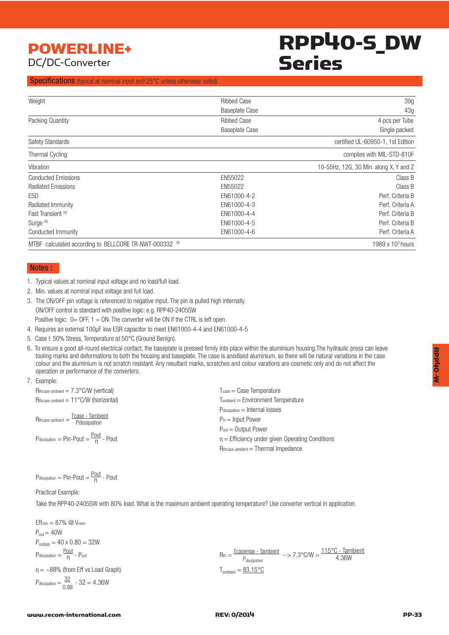## POWERLINE+ DC/DC-Converter

## RPP40-S\_DW Series

#### Specifications (typical at nominal input and 25°C unless otherwise noted)

| Weight                                                  | <b>Ribbed Case</b>    | 39g                                    |
|---------------------------------------------------------|-----------------------|----------------------------------------|
|                                                         | <b>Baseplate Case</b> | 43g                                    |
| Packing Quantity                                        | <b>Ribbed Case</b>    | 4 pcs per Tube                         |
|                                                         | <b>Baseplate Case</b> | Single packed                          |
| <b>Safety Standards</b>                                 |                       | certified UL-60950-1, 1st Edition      |
| Thermal Cycling                                         |                       | complies with MIL-STD-810F             |
| Vibration                                               |                       | 10-55Hz, 12G, 30 Min. along X, Y and Z |
| <b>Conducted Emissions</b>                              | EN55022               | Class B                                |
| <b>Radiated Emissions</b>                               | EN55022               | Class B                                |
| ESD                                                     | EN61000-4-2           | Perf. Criteria B                       |
| Radiated Immunity                                       | EN61000-4-3           | Perf. Criteria A                       |
| Fast Transient <sup>(4)</sup>                           | EN61000-4-4           | Perf. Criteria B                       |
| Surge <sup>(4)</sup>                                    | EN61000-4-5           | Perf. Criteria B                       |
| Conducted Immunity                                      | EN61000-4-6           | Perf. Criteria A                       |
| MTBF calculated according to BELLCORE TR-NWT-000332 (5) |                       | 1989 x $103$ hours                     |

#### Notes :

- 1. Typical values at nominal input voltage and no load/full load.
- 2. Min. values at nominal input voltage and full load.
- 3. The ON/OFF pin voltage is referenced to negative input. The pin is pulled high internally. ON/OFF control is standard with positive logic: e.g. RPP40-2405SW Positive logic:  $0=$  OFF,  $1=$  ON. The converter will be ON if the CTRL is left open.
- 4. Requires an external 100µF low ESR capacitor to meet EN61000-4-4 and EN61000-4-5
- 5. Case l: 50% Stress, Temperature at 50°C (Ground Benign).
- 6. To ensure a good all-round electrical contact, the baseplate is pressed firmly into place within the aluminium housing.The hydraulic press can leave tooling marks and deformations to both the housing and baseplate. The case is anodised aluminium, so there will be natural variations in the case colour and the aluminium is not scratch resistant. Any resultant marks, scratches and colour varations are cosmetic only and do not affect the operation or performance of the converters.

#### 7. Example:

| $T_{\text{case}} = \text{Case}$ Temperature       |  |  |
|---------------------------------------------------|--|--|
| $T_{ambient} = Environment Temperature$           |  |  |
| $P_{dissipation} =$ Internal losses               |  |  |
| $P_{in}$ = Input Power                            |  |  |
| $P_{out} = Output$ Power                          |  |  |
| $n =$ Efficiency under given Operating Conditions |  |  |
| Rthcase-ambient = Thermal Impedance               |  |  |
|                                                   |  |  |

$$
P_{dissipation} = Pin-Pout = \frac{Pout}{n} - Pout
$$

#### Practical Example:

Take the RPP40-2405SW with 80% load. What is the maximum ambient operating temperature? Use converter vertical in application.

| \n $Eff_{min} = 87\%$ \n $\text{Q} V_{nom}$ \n         |
|--------------------------------------------------------|
| \n $P_{out} = 40W$ \n                                  |
| \n $P_{outapp} = 40 \times 0.80 = 32W$ \n              |
| \n $P_{dissipation} = \frac{Pout}{n}$ \n               |
| \n $P_{dissipation} = -88\%$ \n                        |
| \n $f_{dissipation} = \frac{32}{0.88} - 32 = 4.36W$ \n |

\nQ<sub>dissipation</sub> = 32

\nQ<sub>u</sub> = 32

\n\n\n\nQ<sub>dissipation</sub> = 32

\nQ<sub>u</sub> = 32

\n\n\n\n

**RPP40 -W** 

M-Ohdda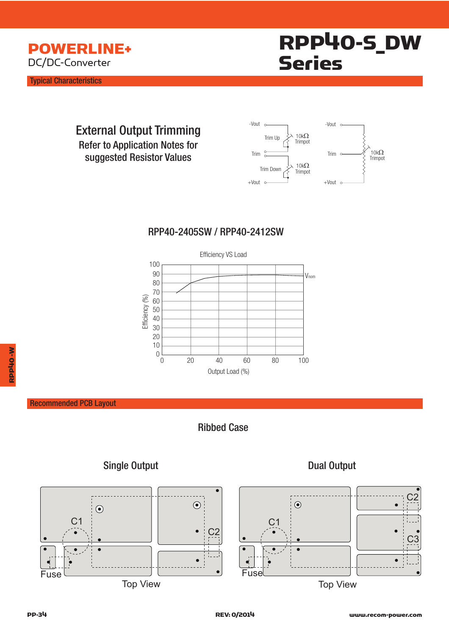

Typical Characteristics



 External Output Trimming Refer to Application Notes for suggested Resistor Values



### RPP40-2405SW / RPP40-2412SW



### Recommended PCB Layout



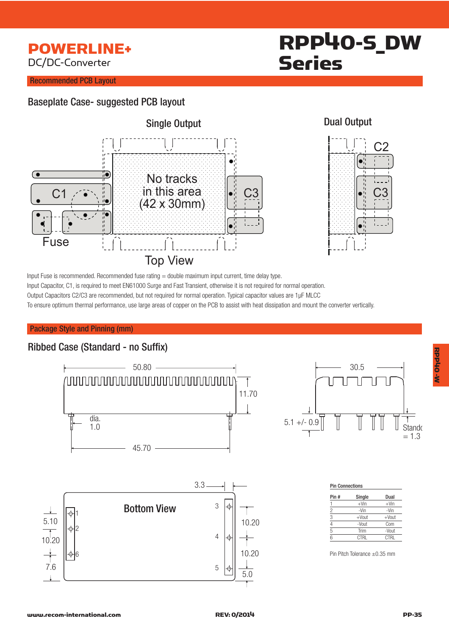## POWERLINE+ DC/DC-Converter

# RPP40-S\_DW Series

### Recommended PCB Layout

## Baseplate Case- suggested PCB layout





RPP40 -W

W-OHOHO-W

#### Input Fuse is recommended. Recommended fuse rating = double maximum input current, time delay type. Input Capacitor, C1, is required to meet EN61000 Surge and Fast Transient, otherwise it is not required for normal operation. Output Capacitors C2/C3 are recommended, but not required for normal operation. Typical capacitor values are 1µF MLCC

To ensure optimum thermal performance, use large areas of copper on the PCB to assist with heat dissipation and mount the converter vertically.

#### Package Style and Pinning (mm)

## Ribbed Case (Standard - no Suffix)